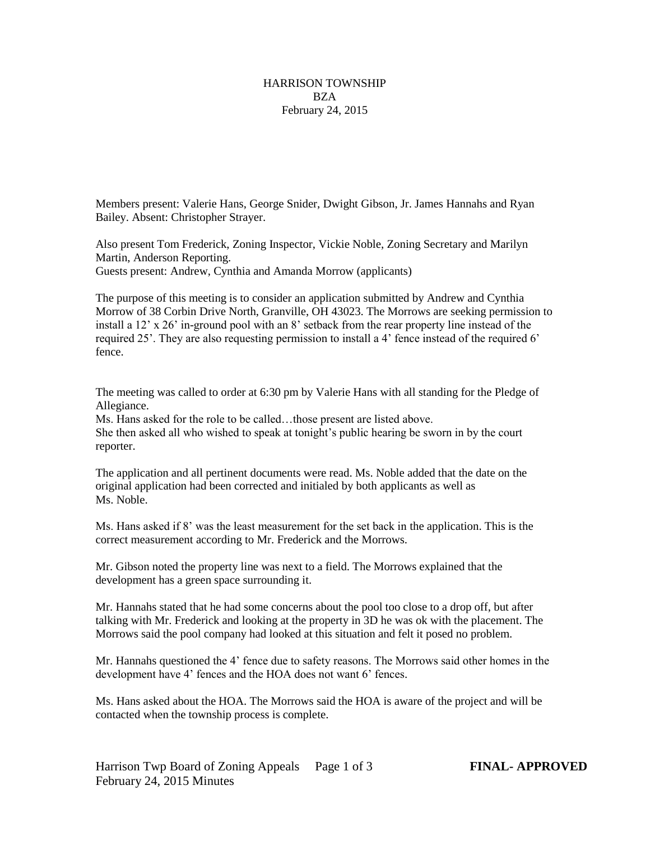## HARRISON TOWNSHIP BZA February 24, 2015

Members present: Valerie Hans, George Snider, Dwight Gibson, Jr. James Hannahs and Ryan Bailey. Absent: Christopher Strayer.

Also present Tom Frederick, Zoning Inspector, Vickie Noble, Zoning Secretary and Marilyn Martin, Anderson Reporting. Guests present: Andrew, Cynthia and Amanda Morrow (applicants)

The purpose of this meeting is to consider an application submitted by Andrew and Cynthia Morrow of 38 Corbin Drive North, Granville, OH 43023. The Morrows are seeking permission to install a 12' x 26' in-ground pool with an 8' setback from the rear property line instead of the required 25'. They are also requesting permission to install a 4' fence instead of the required 6' fence.

The meeting was called to order at 6:30 pm by Valerie Hans with all standing for the Pledge of Allegiance.

Ms. Hans asked for the role to be called…those present are listed above. She then asked all who wished to speak at tonight's public hearing be sworn in by the court reporter.

The application and all pertinent documents were read. Ms. Noble added that the date on the original application had been corrected and initialed by both applicants as well as Ms. Noble.

Ms. Hans asked if 8' was the least measurement for the set back in the application. This is the correct measurement according to Mr. Frederick and the Morrows.

Mr. Gibson noted the property line was next to a field. The Morrows explained that the development has a green space surrounding it.

Mr. Hannahs stated that he had some concerns about the pool too close to a drop off, but after talking with Mr. Frederick and looking at the property in 3D he was ok with the placement. The Morrows said the pool company had looked at this situation and felt it posed no problem.

Mr. Hannahs questioned the 4' fence due to safety reasons. The Morrows said other homes in the development have 4' fences and the HOA does not want 6' fences.

Ms. Hans asked about the HOA. The Morrows said the HOA is aware of the project and will be contacted when the township process is complete.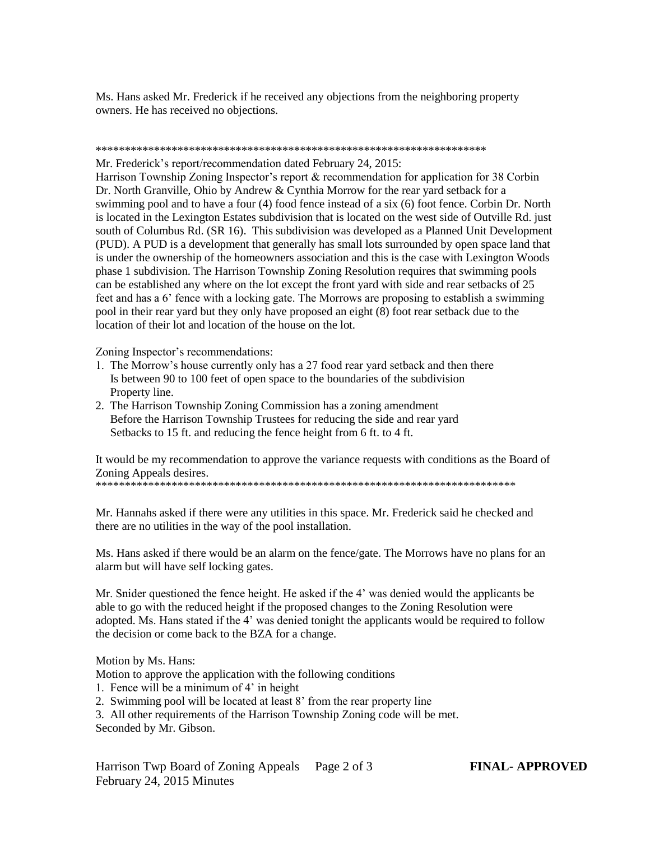Ms. Hans asked Mr. Frederick if he received any objections from the neighboring property owners. He has received no objections.

## \*\*\*\*\*\*\*\*\*\*\*\*\*\*\*\*\*\*\*\*\*\*\*\*\*\*\*\*\*\*\*\*\*\*\*\*\*\*\*\*\*\*\*\*\*\*\*\*\*\*\*\*\*\*\*\*\*\*\*\*\*\*\*\*\*\*\*

Mr. Frederick's report/recommendation dated February 24, 2015:

Harrison Township Zoning Inspector's report & recommendation for application for 38 Corbin Dr. North Granville, Ohio by Andrew & Cynthia Morrow for the rear yard setback for a swimming pool and to have a four (4) food fence instead of a six (6) foot fence. Corbin Dr. North is located in the Lexington Estates subdivision that is located on the west side of Outville Rd. just south of Columbus Rd. (SR 16). This subdivision was developed as a Planned Unit Development (PUD). A PUD is a development that generally has small lots surrounded by open space land that is under the ownership of the homeowners association and this is the case with Lexington Woods phase 1 subdivision. The Harrison Township Zoning Resolution requires that swimming pools can be established any where on the lot except the front yard with side and rear setbacks of 25 feet and has a 6' fence with a locking gate. The Morrows are proposing to establish a swimming pool in their rear yard but they only have proposed an eight (8) foot rear setback due to the location of their lot and location of the house on the lot.

Zoning Inspector's recommendations:

- 1. The Morrow's house currently only has a 27 food rear yard setback and then there Is between 90 to 100 feet of open space to the boundaries of the subdivision Property line.
- 2. The Harrison Township Zoning Commission has a zoning amendment Before the Harrison Township Trustees for reducing the side and rear yard Setbacks to 15 ft. and reducing the fence height from 6 ft. to 4 ft.

It would be my recommendation to approve the variance requests with conditions as the Board of Zoning Appeals desires.

\*\*\*\*\*\*\*\*\*\*\*\*\*\*\*\*\*\*\*\*\*\*\*\*\*\*\*\*\*\*\*\*\*\*\*\*\*\*\*\*\*\*\*\*\*\*\*\*\*\*\*\*\*\*\*\*\*\*\*\*\*\*\*\*\*\*\*\*\*\*\*\*

Mr. Hannahs asked if there were any utilities in this space. Mr. Frederick said he checked and there are no utilities in the way of the pool installation.

Ms. Hans asked if there would be an alarm on the fence/gate. The Morrows have no plans for an alarm but will have self locking gates.

Mr. Snider questioned the fence height. He asked if the 4' was denied would the applicants be able to go with the reduced height if the proposed changes to the Zoning Resolution were adopted. Ms. Hans stated if the 4' was denied tonight the applicants would be required to follow the decision or come back to the BZA for a change.

Motion by Ms. Hans:

Motion to approve the application with the following conditions

- 1. Fence will be a minimum of 4' in height
- 2. Swimming pool will be located at least 8' from the rear property line

3. All other requirements of the Harrison Township Zoning code will be met. Seconded by Mr. Gibson.

Harrison Twp Board of Zoning Appeals Page 2 of 3 **FINAL- APPROVED** February 24, 2015 Minutes